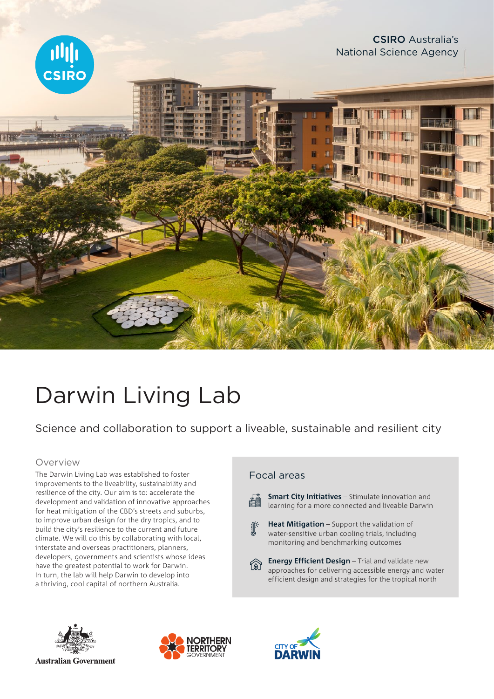

# Darwin Living Lab

Science and collaboration to support a liveable, sustainable and resilient city

#### Overview

The Darwin Living Lab was established to foster improvements to the liveability, sustainability and resilience of the city. Our aim is to: accelerate the development and validation of innovative approaches for heat mitigation of the CBD's streets and suburbs, to improve urban design for the dry tropics, and to build the city's resilience to the current and future climate. We will do this by collaborating with local, interstate and overseas practitioners, planners, developers, governments and scientists whose ideas have the greatest potential to work for Darwin. In turn, the lab will help Darwin to develop into a thriving, cool capital of northern Australia.

## Focal areas



**Smart City Initiatives** – Stimulate innovation and learning for a more connected and liveable Darwin

**Heat Mitigation** – Support the validation of water-sensitive urban cooling trials, including monitoring and benchmarking outcomes



**Energy Efficient Design** – Trial and validate new approaches for delivering accessible energy and water efficient design and strategies for the tropical north



**Australian Government**